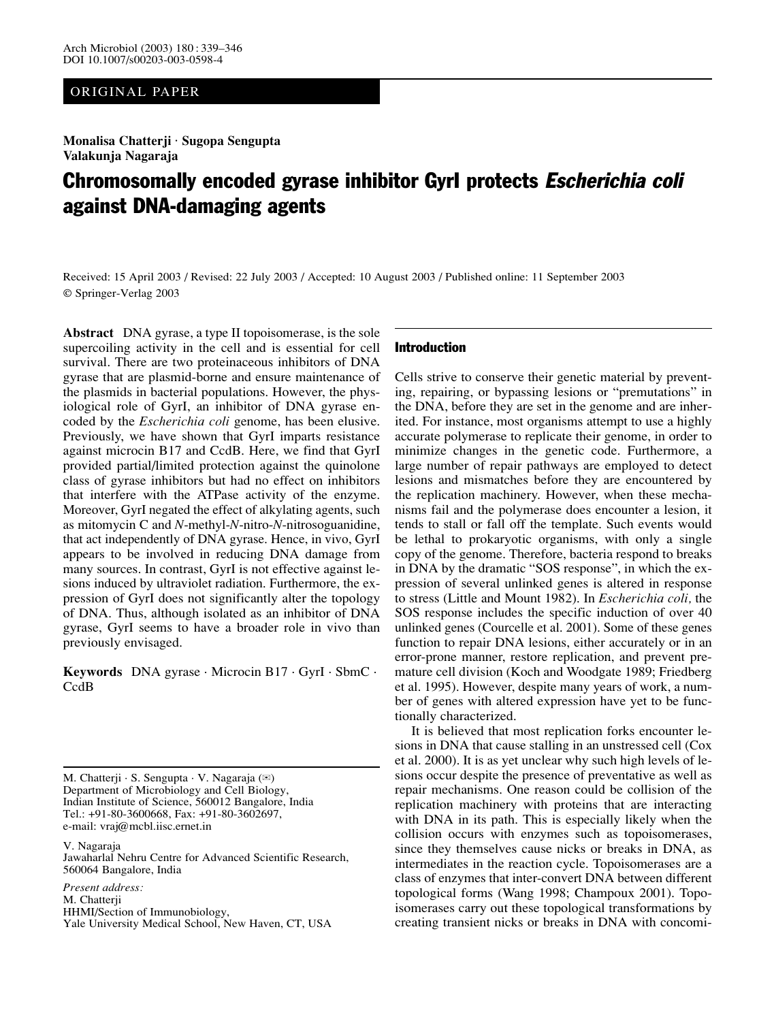# ORIGINAL PAPER

**Monalisa Chatterji · Sugopa Sengupta · Valakunja Nagaraja**

# Chromosomally encoded gyrase inhibitor GyrI protects Escherichia coli against DNA-damaging agents

Received: 15 April 2003 / Revised: 22 July 2003 / Accepted: 10 August 2003 / Published online: 11 September 2003 © Springer-Verlag 2003

**Abstract** DNA gyrase, a type II topoisomerase, is the sole supercoiling activity in the cell and is essential for cell survival. There are two proteinaceous inhibitors of DNA gyrase that are plasmid-borne and ensure maintenance of the plasmids in bacterial populations. However, the physiological role of GyrI, an inhibitor of DNA gyrase encoded by the *Escherichia coli* genome, has been elusive. Previously, we have shown that GyrI imparts resistance against microcin B17 and CcdB. Here, we find that GyrI provided partial/limited protection against the quinolone class of gyrase inhibitors but had no effect on inhibitors that interfere with the ATPase activity of the enzyme. Moreover, GyrI negated the effect of alkylating agents, such as mitomycin C and *N*-methyl-*N*-nitro-*N*-nitrosoguanidine, that act independently of DNA gyrase. Hence, in vivo, GyrI appears to be involved in reducing DNA damage from many sources. In contrast, GyrI is not effective against lesions induced by ultraviolet radiation. Furthermore, the expression of GyrI does not significantly alter the topology of DNA. Thus, although isolated as an inhibitor of DNA gyrase, GyrI seems to have a broader role in vivo than previously envisaged.

**Keywords** DNA gyrase · Microcin B17 · GyrI · SbmC · **CcdB** 

M. Chatterji · S. Sengupta · V. Nagaraja (✉) Department of Microbiology and Cell Biology, Indian Institute of Science, 560012 Bangalore, India Tel.: +91-80-3600668, Fax: +91-80-3602697, e-mail: vraj@mcbl.iisc.ernet.in

V. Nagaraja Jawaharlal Nehru Centre for Advanced Scientific Research, 560064 Bangalore, India

*Present address:* M. Chatterji HHMI/Section of Immunobiology, Yale University Medical School, New Haven, CT, USA

## Introduction

Cells strive to conserve their genetic material by preventing, repairing, or bypassing lesions or "premutations" in the DNA, before they are set in the genome and are inherited. For instance, most organisms attempt to use a highly accurate polymerase to replicate their genome, in order to minimize changes in the genetic code. Furthermore, a large number of repair pathways are employed to detect lesions and mismatches before they are encountered by the replication machinery. However, when these mechanisms fail and the polymerase does encounter a lesion, it tends to stall or fall off the template. Such events would be lethal to prokaryotic organisms, with only a single copy of the genome. Therefore, bacteria respond to breaks in DNA by the dramatic "SOS response", in which the expression of several unlinked genes is altered in response to stress (Little and Mount 1982). In *Escherichia coli,* the SOS response includes the specific induction of over 40 unlinked genes (Courcelle et al. 2001). Some of these genes function to repair DNA lesions, either accurately or in an error-prone manner, restore replication, and prevent premature cell division (Koch and Woodgate 1989; Friedberg et al. 1995). However, despite many years of work, a number of genes with altered expression have yet to be functionally characterized.

It is believed that most replication forks encounter lesions in DNA that cause stalling in an unstressed cell (Cox et al. 2000). It is as yet unclear why such high levels of lesions occur despite the presence of preventative as well as repair mechanisms. One reason could be collision of the replication machinery with proteins that are interacting with DNA in its path. This is especially likely when the collision occurs with enzymes such as topoisomerases, since they themselves cause nicks or breaks in DNA, as intermediates in the reaction cycle. Topoisomerases are a class of enzymes that inter-convert DNA between different topological forms (Wang 1998; Champoux 2001). Topoisomerases carry out these topological transformations by creating transient nicks or breaks in DNA with concomi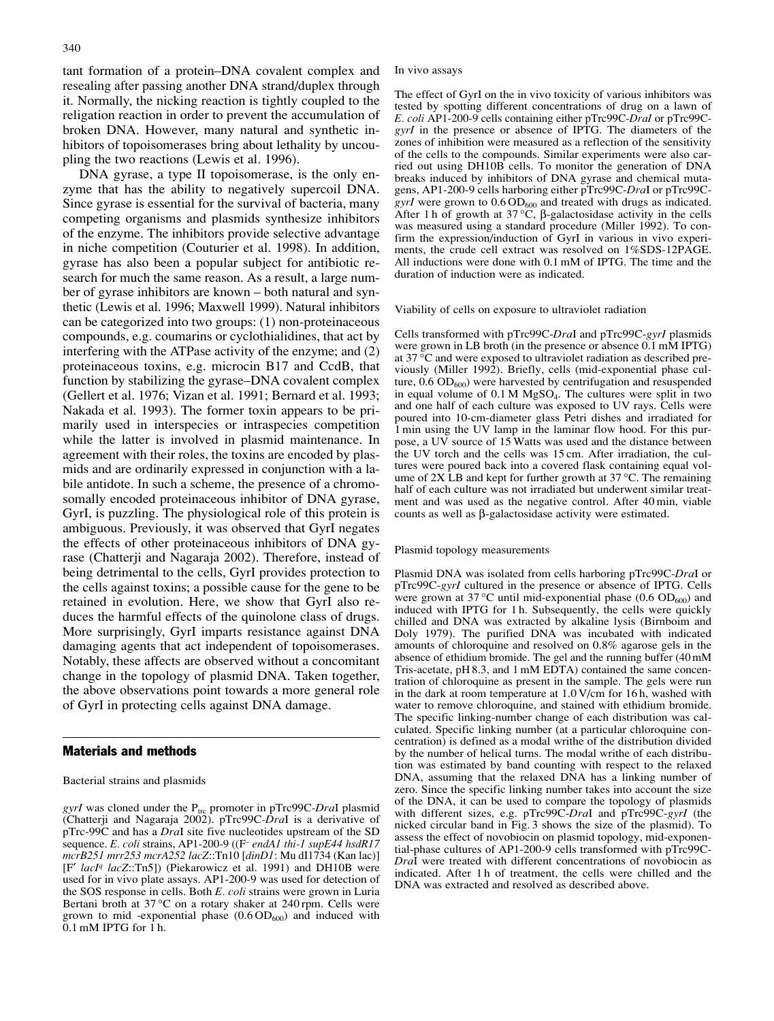tant formation of a protein–DNA covalent complex and resealing after passing another DNA strand/duplex through it. Normally, the nicking reaction is tightly coupled to the religation reaction in order to prevent the accumulation of broken DNA. However, many natural and synthetic inhibitors of topoisomerases bring about lethality by uncoupling the two reactions (Lewis et al. 1996).

DNA gyrase, a type II topoisomerase, is the only enzyme that has the ability to negatively supercoil DNA. Since gyrase is essential for the survival of bacteria, many competing organisms and plasmids synthesize inhibitors of the enzyme. The inhibitors provide selective advantage in niche competition (Couturier et al. 1998). In addition, gyrase has also been a popular subject for antibiotic research for much the same reason. As a result, a large number of gyrase inhibitors are known – both natural and synthetic (Lewis et al. 1996; Maxwell 1999). Natural inhibitors can be categorized into two groups: (1) non-proteinaceous compounds, e.g. coumarins or cyclothialidines, that act by interfering with the ATPase activity of the enzyme; and (2) proteinaceous toxins, e.g. microcin B17 and CcdB, that function by stabilizing the gyrase–DNA covalent complex (Gellert et al. 1976; Vizan et al. 1991; Bernard et al. 1993; Nakada et al. 1993). The former toxin appears to be primarily used in interspecies or intraspecies competition while the latter is involved in plasmid maintenance. In agreement with their roles, the toxins are encoded by plasmids and are ordinarily expressed in conjunction with a labile antidote. In such a scheme, the presence of a chromosomally encoded proteinaceous inhibitor of DNA gyrase, GyrI, is puzzling. The physiological role of this protein is ambiguous. Previously, it was observed that GyrI negates the effects of other proteinaceous inhibitors of DNA gyrase (Chatterji and Nagaraja 2002). Therefore, instead of being detrimental to the cells, GyrI provides protection to the cells against toxins; a possible cause for the gene to be retained in evolution. Here, we show that GyrI also reduces the harmful effects of the quinolone class of drugs. More surprisingly, GyrI imparts resistance against DNA damaging agents that act independent of topoisomerases. Notably, these affects are observed without a concomitant change in the topology of plasmid DNA. Taken together, the above observations point towards a more general role of GyrI in protecting cells against DNA damage.

#### Materials and methods

#### Bacterial strains and plasmids

*gyrI* was cloned under the P<sub>trc</sub> promoter in pTrc99C-DraI plasmid (Chatterji and Nagaraja 2002). pTrc99C*-Dra*I is a derivative of pTrc-99C and has a *Dra*I site five nucleotides upstream of the SD sequence. *E. coli* strains, AP1-200-9 ((F– *endA1 thi-1 supE44 hsdR17 mcrB251 mrr253 mcrA252 lacZ*::Tn10 [*dinD1*: Mu dI1734 (Kan lac)] [F′ *lacIq lacZ*::Tn5]) (Piekarowicz et al. 1991) and DH10B were used for in vivo plate assays. AP1-200-9 was used for detection of the SOS response in cells. Both *E. coli* strains were grown in Luria Bertani broth at 37 °C on a rotary shaker at 240 rpm. Cells were grown to mid -exponential phase  $(0.6 \text{ OD}_{600})$  and induced with 0.1 mM IPTG for 1 h.

#### In vivo assays

The effect of GyrI on the in vivo toxicity of various inhibitors was tested by spotting different concentrations of drug on a lawn of *E. coli* AP1-200-9 cells containing either pTrc99C-*DraI* or pTrc99C*gyrI* in the presence or absence of IPTG. The diameters of the zones of inhibition were measured as a reflection of the sensitivity of the cells to the compounds. Similar experiments were also carried out using DH10B cells. To monitor the generation of DNA breaks induced by inhibitors of DNA gyrase and chemical mutagens, AP1-200-9 cells harboring either pTrc99C-*Dra*I or pTrc99C*gyrI* were grown to  $0.6 \text{OD}_{600}$  and treated with drugs as indicated. After 1 h of growth at  $37^{\circ}C$ ,  $\beta$ -galactosidase activity in the cells was measured using a standard procedure (Miller 1992). To confirm the expression/induction of GyrI in various in vivo experiments, the crude cell extract was resolved on 1%SDS-12PAGE. All inductions were done with 0.1 mM of IPTG. The time and the duration of induction were as indicated.

#### Viability of cells on exposure to ultraviolet radiation

Cells transformed with pTrc99C-*Dra*I and pTrc99C-*gyrI* plasmids were grown in LB broth (in the presence or absence 0.1 mM IPTG) at 37 °C and were exposed to ultraviolet radiation as described previously (Miller 1992). Briefly, cells (mid-exponential phase culture,  $0.6$  OD<sub>600</sub>) were harvested by centrifugation and resuspended in equal volume of  $0.1 M MgSO<sub>4</sub>$ . The cultures were split in two and one half of each culture was exposed to UV rays. Cells were poured into 10-cm-diameter glass Petri dishes and irradiated for 1 min using the UV lamp in the laminar flow hood. For this purpose, a UV source of 15 Watts was used and the distance between the UV torch and the cells was 15 cm. After irradiation, the cultures were poured back into a covered flask containing equal volume of  $2X$  LB and kept for further growth at  $37$  °C. The remaining half of each culture was not irradiated but underwent similar treatment and was used as the negative control. After 40 min, viable counts as well as β-galactosidase activity were estimated.

#### Plasmid topology measurements

Plasmid DNA was isolated from cells harboring pTrc99C-*Dra*I or pTrc99C-*gyrI* cultured in the presence or absence of IPTG. Cells were grown at 37 °C until mid-exponential phase  $(0.6 \text{ OD}_{600})$  and induced with IPTG for 1 h. Subsequently, the cells were quickly chilled and DNA was extracted by alkaline lysis (Birnboim and Doly 1979). The purified DNA was incubated with indicated amounts of chloroquine and resolved on 0.8% agarose gels in the absence of ethidium bromide. The gel and the running buffer (40 mM Tris-acetate, pH 8.3, and 1 mM EDTA) contained the same concentration of chloroquine as present in the sample. The gels were run in the dark at room temperature at 1.0 V/cm for 16 h, washed with water to remove chloroquine, and stained with ethidium bromide. The specific linking-number change of each distribution was calculated. Specific linking number (at a particular chloroquine concentration) is defined as a modal writhe of the distribution divided by the number of helical turns. The modal writhe of each distribution was estimated by band counting with respect to the relaxed DNA, assuming that the relaxed DNA has a linking number of zero. Since the specific linking number takes into account the size of the DNA, it can be used to compare the topology of plasmids with different sizes, e.g. pTrc99C-*Dra*I and pTrc99C-gyrI (the nicked circular band in Fig. 3 shows the size of the plasmid). To assess the effect of novobiocin on plasmid topology, mid-exponential-phase cultures of AP1-200-9 cells transformed with pTrc99C-*Dra*I were treated with different concentrations of novobiocin as indicated. After 1 h of treatment, the cells were chilled and the DNA was extracted and resolved as described above.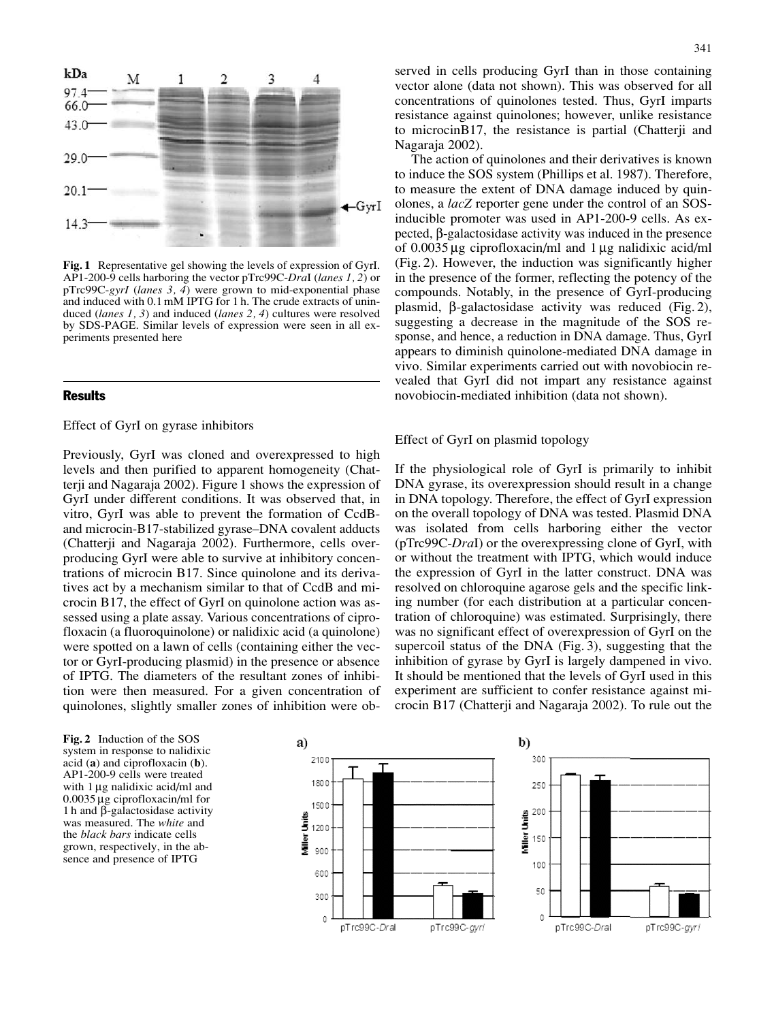

**Fig. 1** Representative gel showing the levels of expression of GyrI. AP1-200-9 cells harboring the vector pTrc99C-*Dra*I (*lanes 1, 2*) or pTrc99C-*gyrI* (*lanes 3, 4*) were grown to mid-exponential phase and induced with 0.1 mM IPTG for 1 h. The crude extracts of uninduced (*lanes 1, 3*) and induced (*lanes 2, 4*) cultures were resolved by SDS-PAGE. Similar levels of expression were seen in all experiments presented here

# **Results**

## Effect of GyrI on gyrase inhibitors

Previously, GyrI was cloned and overexpressed to high levels and then purified to apparent homogeneity (Chatterji and Nagaraja 2002). Figure 1 shows the expression of GyrI under different conditions. It was observed that, in vitro, GyrI was able to prevent the formation of CcdBand microcin-B17-stabilized gyrase–DNA covalent adducts (Chatterji and Nagaraja 2002). Furthermore, cells overproducing GyrI were able to survive at inhibitory concentrations of microcin B17. Since quinolone and its derivatives act by a mechanism similar to that of CcdB and microcin B17, the effect of GyrI on quinolone action was assessed using a plate assay. Various concentrations of ciprofloxacin (a fluoroquinolone) or nalidixic acid (a quinolone) were spotted on a lawn of cells (containing either the vector or GyrI-producing plasmid) in the presence or absence of IPTG. The diameters of the resultant zones of inhibition were then measured. For a given concentration of quinolones, slightly smaller zones of inhibition were ob-

**Fig. 2** Induction of the SOS system in response to nalidixic acid (**a**) and ciprofloxacin (**b**). AP1-200-9 cells were treated with 1 µg nalidixic acid/ml and 0.0035 µg ciprofloxacin/ml for 1 h and β-galactosidase activity was measured. The *white* and the *black bars* indicate cells grown, respectively, in the absence and presence of IPTG

served in cells producing GyrI than in those containing vector alone (data not shown). This was observed for all concentrations of quinolones tested. Thus, GyrI imparts resistance against quinolones; however, unlike resistance to microcinB17, the resistance is partial (Chatterji and Nagaraja 2002).

The action of quinolones and their derivatives is known to induce the SOS system (Phillips et al. 1987). Therefore, to measure the extent of DNA damage induced by quinolones, a *lacZ* reporter gene under the control of an SOSinducible promoter was used in AP1-200-9 cells. As expected, β-galactosidase activity was induced in the presence of 0.0035 µg ciprofloxacin/ml and 1 µg nalidixic acid/ml (Fig. 2). However, the induction was significantly higher in the presence of the former, reflecting the potency of the compounds. Notably, in the presence of GyrI-producing plasmid, β-galactosidase activity was reduced (Fig. 2), suggesting a decrease in the magnitude of the SOS response, and hence, a reduction in DNA damage. Thus, GyrI appears to diminish quinolone-mediated DNA damage in vivo. Similar experiments carried out with novobiocin revealed that GyrI did not impart any resistance against novobiocin-mediated inhibition (data not shown).

## Effect of GyrI on plasmid topology

If the physiological role of GyrI is primarily to inhibit DNA gyrase, its overexpression should result in a change in DNA topology. Therefore, the effect of GyrI expression on the overall topology of DNA was tested. Plasmid DNA was isolated from cells harboring either the vector (pTrc99C-*Dra*I) or the overexpressing clone of GyrI, with or without the treatment with IPTG, which would induce the expression of GyrI in the latter construct. DNA was resolved on chloroquine agarose gels and the specific linking number (for each distribution at a particular concentration of chloroquine) was estimated. Surprisingly, there was no significant effect of overexpression of GyrI on the supercoil status of the DNA (Fig. 3), suggesting that the inhibition of gyrase by GyrI is largely dampened in vivo. It should be mentioned that the levels of GyrI used in this experiment are sufficient to confer resistance against microcin B17 (Chatterji and Nagaraja 2002). To rule out the

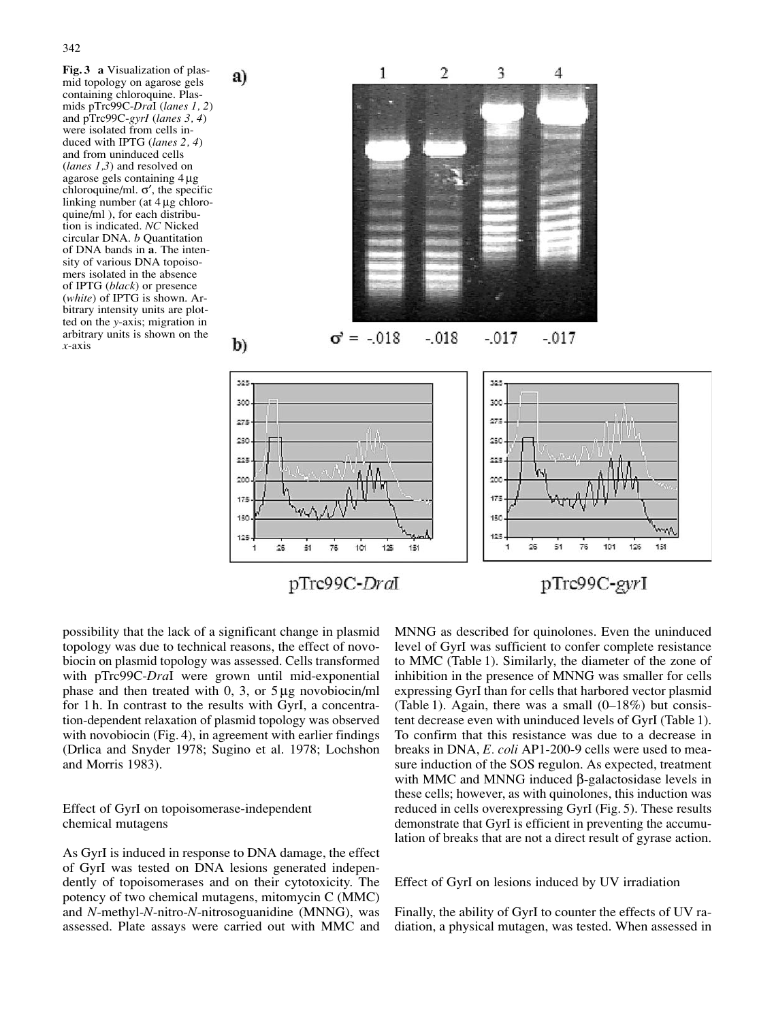**Fig. 3 a** Visualization of plasmid topology on agarose gels containing chloroquine. Plasmids pTrc99C-*Dra*I (*lanes 1, 2*) and pTrc99C-*gyrI* (*lanes 3, 4*) were isolated from cells induced with IPTG (*lanes 2, 4*) and from uninduced cells (*lanes 1,3*) and resolved on agarose gels containing 4 µg chloroquine/ml. σ′, the specific linking number (at 4 µg chloroquine/ml ), for each distribution is indicated. *NC* Nicked circular DNA. *b* Quantitation of DNA bands in **a**. The intensity of various DNA topoisomers isolated in the absence of IPTG (*black*) or presence (*white*) of IPTG is shown. Arbitrary intensity units are plotted on the *y*-axis; migration in arbitrary units is shown on the *x*-axis



pTrc99C-DraI

pTrc99C-gyrI

possibility that the lack of a significant change in plasmid topology was due to technical reasons, the effect of novobiocin on plasmid topology was assessed. Cells transformed with pTrc99C-*Dra*I were grown until mid-exponential phase and then treated with 0, 3, or  $5 \mu$ g novobiocin/ml for 1 h. In contrast to the results with GyrI, a concentration-dependent relaxation of plasmid topology was observed with novobiocin (Fig. 4), in agreement with earlier findings (Drlica and Snyder 1978; Sugino et al. 1978; Lochshon and Morris 1983).

## Effect of GyrI on topoisomerase-independent chemical mutagens

As GyrI is induced in response to DNA damage, the effect of GyrI was tested on DNA lesions generated independently of topoisomerases and on their cytotoxicity. The potency of two chemical mutagens, mitomycin C (MMC) and *N*-methyl-*N*-nitro-*N*-nitrosoguanidine (MNNG), was assessed. Plate assays were carried out with MMC and

MNNG as described for quinolones. Even the uninduced level of GyrI was sufficient to confer complete resistance to MMC (Table 1). Similarly, the diameter of the zone of inhibition in the presence of MNNG was smaller for cells expressing GyrI than for cells that harbored vector plasmid (Table 1). Again, there was a small  $(0-18\%)$  but consistent decrease even with uninduced levels of GyrI (Table 1). To confirm that this resistance was due to a decrease in breaks in DNA, *E. coli* AP1-200-9 cells were used to measure induction of the SOS regulon. As expected, treatment with MMC and MNNG induced β-galactosidase levels in these cells; however, as with quinolones, this induction was reduced in cells overexpressing GyrI (Fig. 5). These results demonstrate that GyrI is efficient in preventing the accumulation of breaks that are not a direct result of gyrase action.

#### Effect of GyrI on lesions induced by UV irradiation

Finally, the ability of GyrI to counter the effects of UV radiation, a physical mutagen, was tested. When assessed in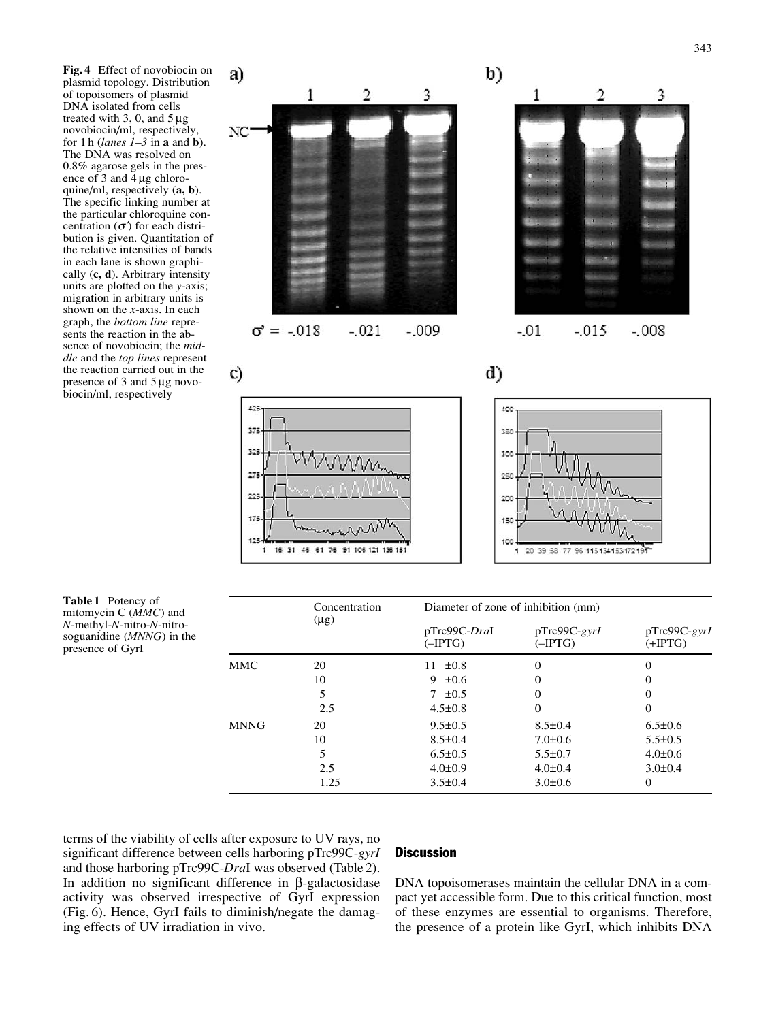**Fig. 4** Effect of novobiocin on plasmid topology. Distribution of topoisomers of plasmid DNA isolated from cells treated with 3, 0, and  $5 \mu$ g novobiocin/ml, respectively, for 1 h (*lanes 1–3* in **a** and **b**). The DNA was resolved on 0.8% agarose gels in the presence of 3 and 4 µg chloroquine/ml, respectively (**a, b**). The specific linking number at the particular chloroquine concentration  $(\sigma)$  for each distribution is given. Quantitation of the relative intensities of bands in each lane is shown graphically (**c, d**). Arbitrary intensity units are plotted on the *y*-axis; migration in arbitrary units is shown on the *x*-axis. In each graph, the *bottom line* represents the reaction in the absence of novobiocin; the *middle* and the *top lines* represent the reaction carried out in the presence of 3 and 5 µg novobiocin/ml, respectively





2

b)

1





**Table 1** Potency of mitomycin C (*MMC*) and *N*-methyl-*N*-nitro-*N*-nitrosoguanidine (*MNNG*) in the presence of GyrI

|             | Concentration<br>$(\mu$ g) | Diameter of zone of inhibition (mm) |                             |                                 |
|-------------|----------------------------|-------------------------------------|-----------------------------|---------------------------------|
|             |                            | pTrc99C-DraI<br>$(-IPTG)$           | $pTrc99C-gyrI$<br>$(-IPTG)$ | $pTrc99C-gyrI$<br>$(+$ IPTG $)$ |
| MMC         | 20                         | 11 $\pm 0.8$                        | 0                           | 0                               |
|             | 10                         | $\pm 0.6$<br>9                      |                             | 0                               |
|             | 5                          | $\pm 0.5$<br>7                      | 0                           | $\left( \right)$                |
|             | 2.5                        | $4.5 \pm 0.8$                       | $\Omega$                    | 0                               |
| <b>MNNG</b> | 20                         | $9.5 \pm 0.5$                       | $8.5 \pm 0.4$               | $6.5 \pm 0.6$                   |
|             | 10                         | $8.5 \pm 0.4$                       | $7.0 \pm 0.6$               | $5.5 \pm 0.5$                   |
|             | 5                          | $6.5 \pm 0.5$                       | $5.5 \pm 0.7$               | $4.0 \pm 0.6$                   |
|             | 2.5                        | $4.0 \pm 0.9$                       | $4.0 \pm 0.4$               | $3.0 \pm 0.4$                   |
|             | 1.25                       | $3.5 \pm 0.4$                       | $3.0 \pm 0.6$               | 0                               |

terms of the viability of cells after exposure to UV rays, no significant difference between cells harboring pTrc99C-*gyrI* and those harboring pTrc99C-*Dra*I was observed (Table 2). In addition no significant difference in β-galactosidase activity was observed irrespective of GyrI expression (Fig. 6). Hence, GyrI fails to diminish/negate the damaging effects of UV irradiation in vivo.

## **Discussion**

DNA topoisomerases maintain the cellular DNA in a compact yet accessible form. Due to this critical function, most of these enzymes are essential to organisms. Therefore, the presence of a protein like GyrI, which inhibits DNA

3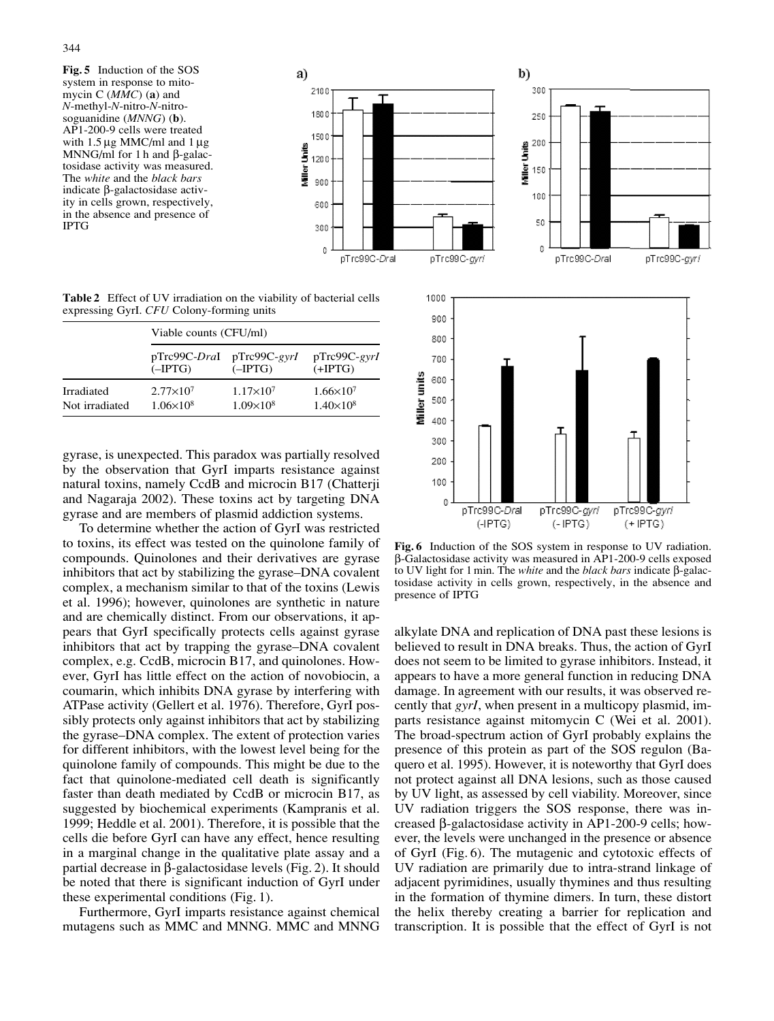**Fig. 5** Induction of the SOS system in response to mitomycin C (*MMC*) (**a**) and *N*-methyl-*N*-nitro-*N*-nitrosoguanidine (*MNNG*) (**b**). AP1-200-9 cells were treated with  $1.5 \mu$ g MMC/ml and  $1 \mu$ g MNNG/ml for 1 h and β-galactosidase activity was measured. The *white* and the *black bars* indicate β-galactosidase activity in cells grown, respectively, in the absence and presence of IPTG



**Table 2** Effect of UV irradiation on the viability of bacterial cells expressing GyrI. *CFU* Colony-forming units

|                              | Viable counts (CFU/ml)                     |                                          |                                          |  |
|------------------------------|--------------------------------------------|------------------------------------------|------------------------------------------|--|
|                              | $pTrc99C-DraI$ $pTrc99C-gyrI$<br>$(-IPTG)$ | $(-IPTG)$                                | $pTrc99C-gyrI$<br>$(+IPTG)$              |  |
| Irradiated<br>Not irradiated | $2.77\times10^{7}$<br>$1.06\times10^{8}$   | $1.17\times10^{7}$<br>$1.09\times10^{8}$ | $1.66\times10^{7}$<br>$1.40\times10^{8}$ |  |

gyrase, is unexpected. This paradox was partially resolved by the observation that GyrI imparts resistance against natural toxins, namely CcdB and microcin B17 (Chatterji and Nagaraja 2002). These toxins act by targeting DNA gyrase and are members of plasmid addiction systems.

To determine whether the action of GyrI was restricted to toxins, its effect was tested on the quinolone family of compounds. Quinolones and their derivatives are gyrase inhibitors that act by stabilizing the gyrase–DNA covalent complex, a mechanism similar to that of the toxins (Lewis et al. 1996); however, quinolones are synthetic in nature and are chemically distinct. From our observations, it appears that GyrI specifically protects cells against gyrase inhibitors that act by trapping the gyrase–DNA covalent complex, e.g. CcdB, microcin B17, and quinolones. However, GyrI has little effect on the action of novobiocin, a coumarin, which inhibits DNA gyrase by interfering with ATPase activity (Gellert et al. 1976). Therefore, GyrI possibly protects only against inhibitors that act by stabilizing the gyrase–DNA complex. The extent of protection varies for different inhibitors, with the lowest level being for the quinolone family of compounds. This might be due to the fact that quinolone-mediated cell death is significantly faster than death mediated by CcdB or microcin B17, as suggested by biochemical experiments (Kampranis et al. 1999; Heddle et al. 2001). Therefore, it is possible that the cells die before GyrI can have any effect, hence resulting in a marginal change in the qualitative plate assay and a partial decrease in β-galactosidase levels (Fig. 2). It should be noted that there is significant induction of GyrI under these experimental conditions (Fig. 1).

Furthermore, GyrI imparts resistance against chemical mutagens such as MMC and MNNG. MMC and MNNG



pTrc99C-gyr/

**Fig. 6** Induction of the SOS system in response to UV radiation. β-Galactosidase activity was measured in AP1-200-9 cells exposed to UV light for 1 min. The *white* and the *black bars* indicate β-galactosidase activity in cells grown, respectively, in the absence and presence of IPTG

alkylate DNA and replication of DNA past these lesions is believed to result in DNA breaks. Thus, the action of GyrI does not seem to be limited to gyrase inhibitors. Instead, it appears to have a more general function in reducing DNA damage. In agreement with our results, it was observed recently that *gyrI*, when present in a multicopy plasmid, imparts resistance against mitomycin C (Wei et al. 2001). The broad-spectrum action of GyrI probably explains the presence of this protein as part of the SOS regulon (Baquero et al. 1995). However, it is noteworthy that GyrI does not protect against all DNA lesions, such as those caused by UV light, as assessed by cell viability. Moreover, since UV radiation triggers the SOS response, there was increased β-galactosidase activity in AP1-200-9 cells; however, the levels were unchanged in the presence or absence of GyrI (Fig. 6). The mutagenic and cytotoxic effects of UV radiation are primarily due to intra-strand linkage of adjacent pyrimidines, usually thymines and thus resulting in the formation of thymine dimers. In turn, these distort the helix thereby creating a barrier for replication and transcription. It is possible that the effect of GyrI is not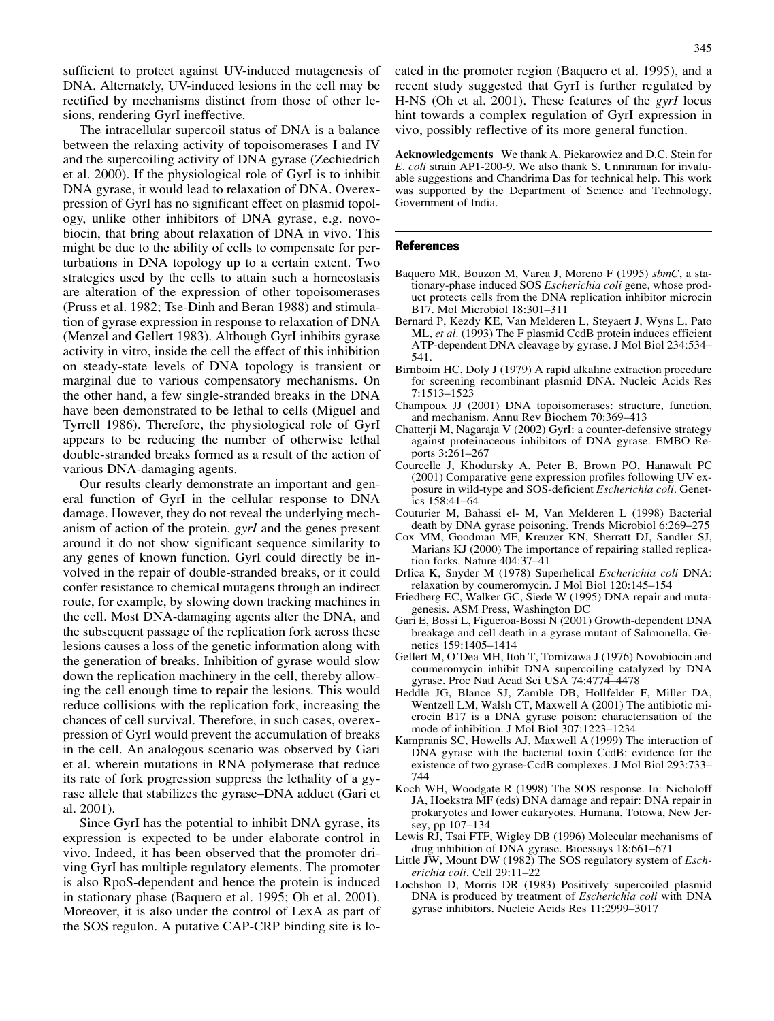sufficient to protect against UV-induced mutagenesis of DNA. Alternately, UV-induced lesions in the cell may be rectified by mechanisms distinct from those of other lesions, rendering GyrI ineffective.

The intracellular supercoil status of DNA is a balance between the relaxing activity of topoisomerases I and IV and the supercoiling activity of DNA gyrase (Zechiedrich et al. 2000). If the physiological role of GyrI is to inhibit DNA gyrase, it would lead to relaxation of DNA. Overexpression of GyrI has no significant effect on plasmid topology, unlike other inhibitors of DNA gyrase, e.g. novobiocin, that bring about relaxation of DNA in vivo. This might be due to the ability of cells to compensate for perturbations in DNA topology up to a certain extent. Two strategies used by the cells to attain such a homeostasis are alteration of the expression of other topoisomerases (Pruss et al. 1982; Tse-Dinh and Beran 1988) and stimulation of gyrase expression in response to relaxation of DNA (Menzel and Gellert 1983). Although GyrI inhibits gyrase activity in vitro, inside the cell the effect of this inhibition on steady-state levels of DNA topology is transient or marginal due to various compensatory mechanisms. On the other hand, a few single-stranded breaks in the DNA have been demonstrated to be lethal to cells (Miguel and Tyrrell 1986). Therefore, the physiological role of GyrI appears to be reducing the number of otherwise lethal double-stranded breaks formed as a result of the action of various DNA-damaging agents.

Our results clearly demonstrate an important and general function of GyrI in the cellular response to DNA damage. However, they do not reveal the underlying mechanism of action of the protein. *gyrI* and the genes present around it do not show significant sequence similarity to any genes of known function. GyrI could directly be involved in the repair of double-stranded breaks, or it could confer resistance to chemical mutagens through an indirect route, for example, by slowing down tracking machines in the cell. Most DNA-damaging agents alter the DNA, and the subsequent passage of the replication fork across these lesions causes a loss of the genetic information along with the generation of breaks. Inhibition of gyrase would slow down the replication machinery in the cell, thereby allowing the cell enough time to repair the lesions. This would reduce collisions with the replication fork, increasing the chances of cell survival. Therefore, in such cases, overexpression of GyrI would prevent the accumulation of breaks in the cell. An analogous scenario was observed by Gari et al. wherein mutations in RNA polymerase that reduce its rate of fork progression suppress the lethality of a gyrase allele that stabilizes the gyrase–DNA adduct (Gari et al. 2001).

Since GyrI has the potential to inhibit DNA gyrase, its expression is expected to be under elaborate control in vivo. Indeed, it has been observed that the promoter driving GyrI has multiple regulatory elements. The promoter is also RpoS-dependent and hence the protein is induced in stationary phase (Baquero et al. 1995; Oh et al. 2001). Moreover, it is also under the control of LexA as part of the SOS regulon. A putative CAP-CRP binding site is lo-

cated in the promoter region (Baquero et al. 1995), and a recent study suggested that GyrI is further regulated by H-NS (Oh et al. 2001). These features of the *gyrI* locus hint towards a complex regulation of GyrI expression in vivo, possibly reflective of its more general function.

**Acknowledgements** We thank A. Piekarowicz and D.C. Stein for *E. coli* strain AP1-200-9. We also thank S. Unniraman for invaluable suggestions and Chandrima Das for technical help. This work was supported by the Department of Science and Technology, Government of India.

#### References

- Baquero MR, Bouzon M, Varea J, Moreno F (1995) *sbmC*, a stationary-phase induced SOS *Escherichia coli* gene, whose product protects cells from the DNA replication inhibitor microcin B17. Mol Microbiol 18:301–311
- Bernard P, Kezdy KE, Van Melderen L, Steyaert J, Wyns L, Pato ML, *et al.* (1993) The F plasmid CcdB protein induces efficient ATP-dependent DNA cleavage by gyrase. J Mol Biol 234:534– 541.
- Birnboim HC, Doly J (1979) A rapid alkaline extraction procedure for screening recombinant plasmid DNA. Nucleic Acids Res 7:1513–1523
- Champoux JJ (2001) DNA topoisomerases: structure, function, and mechanism. Annu Rev Biochem 70:369–413
- Chatterji M, Nagaraja V (2002) GyrI: a counter-defensive strategy against proteinaceous inhibitors of DNA gyrase. EMBO Reports 3:261–267
- Courcelle J, Khodursky A, Peter B, Brown PO, Hanawalt PC (2001) Comparative gene expression profiles following UV exposure in wild-type and SOS-deficient *Escherichia coli*. Genetics 158:41–64
- Couturier M, Bahassi el- M, Van Melderen L (1998) Bacterial death by DNA gyrase poisoning. Trends Microbiol 6:269–275
- Cox MM, Goodman MF, Kreuzer KN, Sherratt DJ, Sandler SJ, Marians KJ (2000) The importance of repairing stalled replication forks. Nature 404:37–41
- Drlica K, Snyder M (1978) Superhelical *Escherichia coli* DNA: relaxation by coumeromycin. J Mol Biol 120:145–154
- Friedberg EC, Walker GC, Siede W (1995) DNA repair and mutagenesis. ASM Press, Washington DC
- Gari E, Bossi L, Figueroa-Bossi N (2001) Growth-dependent DNA breakage and cell death in a gyrase mutant of Salmonella. Genetics 159:1405–1414
- Gellert M, O'Dea MH, Itoh T, Tomizawa J (1976) Novobiocin and coumeromycin inhibit DNA supercoiling catalyzed by DNA gyrase. Proc Natl Acad Sci USA 74:4774–4478
- Heddle JG, Blance SJ, Zamble DB, Hollfelder F, Miller DA, Wentzell LM, Walsh CT, Maxwell A (2001) The antibiotic microcin B17 is a DNA gyrase poison: characterisation of the mode of inhibition. J Mol Biol 307:1223–1234
- Kampranis SC, Howells AJ, Maxwell A (1999) The interaction of DNA gyrase with the bacterial toxin CcdB: evidence for the existence of two gyrase-CcdB complexes. J Mol Biol 293:733– 744
- Koch WH, Woodgate R (1998) The SOS response. In: Nicholoff JA, Hoekstra MF (eds) DNA damage and repair: DNA repair in prokaryotes and lower eukaryotes. Humana, Totowa, New Jersey, pp 107–134
- Lewis RJ, Tsai FTF, Wigley DB (1996) Molecular mechanisms of drug inhibition of DNA gyrase. Bioessays 18:661–671
- Little JW, Mount DW (1982) The SOS regulatory system of *Escherichia coli*. Cell 29:11–22
- Lochshon D, Morris DR (1983) Positively supercoiled plasmid DNA is produced by treatment of *Escherichia coli* with DNA gyrase inhibitors. Nucleic Acids Res 11:2999–3017